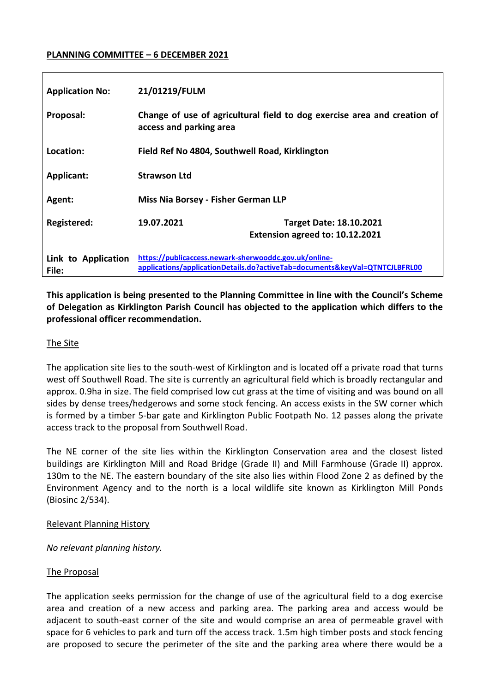### **PLANNING COMMITTEE – 6 DECEMBER 2021**

| <b>Application No:</b>       | 21/01219/FULM                                                                                                                        |
|------------------------------|--------------------------------------------------------------------------------------------------------------------------------------|
| Proposal:                    | Change of use of agricultural field to dog exercise area and creation of<br>access and parking area                                  |
| Location:                    | Field Ref No 4804, Southwell Road, Kirklington                                                                                       |
| Applicant:                   | <b>Strawson Ltd</b>                                                                                                                  |
| Agent:                       | Miss Nia Borsey - Fisher German LLP                                                                                                  |
| Registered:                  | 19.07.2021<br><b>Target Date: 18.10.2021</b><br>Extension agreed to: 10.12.2021                                                      |
| Link to Application<br>File: | https://publicaccess.newark-sherwooddc.gov.uk/online-<br>applications/applicationDetails.do?activeTab=documents&keyVal=QTNTCJLBFRL00 |

**This application is being presented to the Planning Committee in line with the Council's Scheme of Delegation as Kirklington Parish Council has objected to the application which differs to the professional officer recommendation.**

### The Site

The application site lies to the south-west of Kirklington and is located off a private road that turns west off Southwell Road. The site is currently an agricultural field which is broadly rectangular and approx. 0.9ha in size. The field comprised low cut grass at the time of visiting and was bound on all sides by dense trees/hedgerows and some stock fencing. An access exists in the SW corner which is formed by a timber 5-bar gate and Kirklington Public Footpath No. 12 passes along the private access track to the proposal from Southwell Road.

The NE corner of the site lies within the Kirklington Conservation area and the closest listed buildings are Kirklington Mill and Road Bridge (Grade II) and Mill Farmhouse (Grade II) approx. 130m to the NE. The eastern boundary of the site also lies within Flood Zone 2 as defined by the Environment Agency and to the north is a local wildlife site known as Kirklington Mill Ponds (Biosinc 2/534).

### Relevant Planning History

*No relevant planning history.* 

### The Proposal

The application seeks permission for the change of use of the agricultural field to a dog exercise area and creation of a new access and parking area. The parking area and access would be adjacent to south-east corner of the site and would comprise an area of permeable gravel with space for 6 vehicles to park and turn off the access track. 1.5m high timber posts and stock fencing are proposed to secure the perimeter of the site and the parking area where there would be a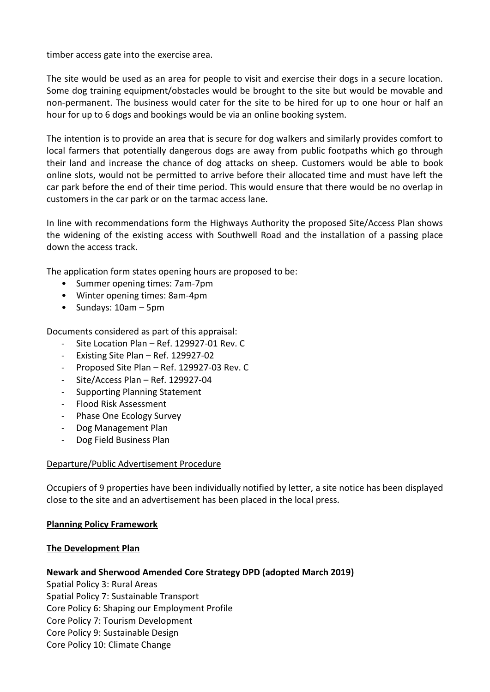timber access gate into the exercise area.

The site would be used as an area for people to visit and exercise their dogs in a secure location. Some dog training equipment/obstacles would be brought to the site but would be movable and non-permanent. The business would cater for the site to be hired for up to one hour or half an hour for up to 6 dogs and bookings would be via an online booking system.

The intention is to provide an area that is secure for dog walkers and similarly provides comfort to local farmers that potentially dangerous dogs are away from public footpaths which go through their land and increase the chance of dog attacks on sheep. Customers would be able to book online slots, would not be permitted to arrive before their allocated time and must have left the car park before the end of their time period. This would ensure that there would be no overlap in customers in the car park or on the tarmac access lane.

In line with recommendations form the Highways Authority the proposed Site/Access Plan shows the widening of the existing access with Southwell Road and the installation of a passing place down the access track.

The application form states opening hours are proposed to be:

- Summer opening times: 7am-7pm
- Winter opening times: 8am-4pm
- Sundays: 10am 5pm

Documents considered as part of this appraisal:

- Site Location Plan Ref. 129927-01 Rev. C
- Existing Site Plan Ref. 129927-02
- Proposed Site Plan Ref. 129927-03 Rev. C
- Site/Access Plan Ref. 129927-04
- Supporting Planning Statement
- Flood Risk Assessment
- Phase One Ecology Survey
- Dog Management Plan
- Dog Field Business Plan

### Departure/Public Advertisement Procedure

Occupiers of 9 properties have been individually notified by letter, a site notice has been displayed close to the site and an advertisement has been placed in the local press.

### **Planning Policy Framework**

### **The Development Plan**

### **Newark and Sherwood Amended Core Strategy DPD (adopted March 2019)**

Spatial Policy 3: Rural Areas Spatial Policy 7: Sustainable Transport Core Policy 6: Shaping our Employment Profile Core Policy 7: Tourism Development Core Policy 9: Sustainable Design Core Policy 10: Climate Change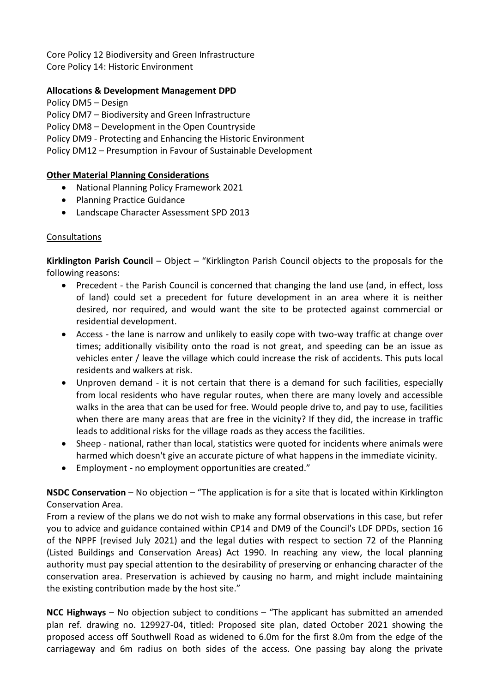Core Policy 12 Biodiversity and Green Infrastructure Core Policy 14: Historic Environment

### **Allocations & Development Management DPD**

- Policy DM5 Design
- Policy DM7 Biodiversity and Green Infrastructure
- Policy DM8 Development in the Open Countryside
- Policy DM9 Protecting and Enhancing the Historic Environment
- Policy DM12 Presumption in Favour of Sustainable Development

### **Other Material Planning Considerations**

- National Planning Policy Framework 2021
- Planning Practice Guidance
- Landscape Character Assessment SPD 2013

### Consultations

**Kirklington Parish Council** – Object – "Kirklington Parish Council objects to the proposals for the following reasons:

- Precedent the Parish Council is concerned that changing the land use (and, in effect, loss of land) could set a precedent for future development in an area where it is neither desired, nor required, and would want the site to be protected against commercial or residential development.
- Access the lane is narrow and unlikely to easily cope with two-way traffic at change over times; additionally visibility onto the road is not great, and speeding can be an issue as vehicles enter / leave the village which could increase the risk of accidents. This puts local residents and walkers at risk.
- Unproven demand it is not certain that there is a demand for such facilities, especially from local residents who have regular routes, when there are many lovely and accessible walks in the area that can be used for free. Would people drive to, and pay to use, facilities when there are many areas that are free in the vicinity? If they did, the increase in traffic leads to additional risks for the village roads as they access the facilities.
- Sheep national, rather than local, statistics were quoted for incidents where animals were harmed which doesn't give an accurate picture of what happens in the immediate vicinity.
- Employment no employment opportunities are created."

**NSDC Conservation** – No objection – "The application is for a site that is located within Kirklington Conservation Area.

From a review of the plans we do not wish to make any formal observations in this case, but refer you to advice and guidance contained within CP14 and DM9 of the Council's LDF DPDs, section 16 of the NPPF (revised July 2021) and the legal duties with respect to section 72 of the Planning (Listed Buildings and Conservation Areas) Act 1990. In reaching any view, the local planning authority must pay special attention to the desirability of preserving or enhancing character of the conservation area. Preservation is achieved by causing no harm, and might include maintaining the existing contribution made by the host site."

**NCC Highways** – No objection subject to conditions – "The applicant has submitted an amended plan ref. drawing no. 129927-04, titled: Proposed site plan, dated October 2021 showing the proposed access off Southwell Road as widened to 6.0m for the first 8.0m from the edge of the carriageway and 6m radius on both sides of the access. One passing bay along the private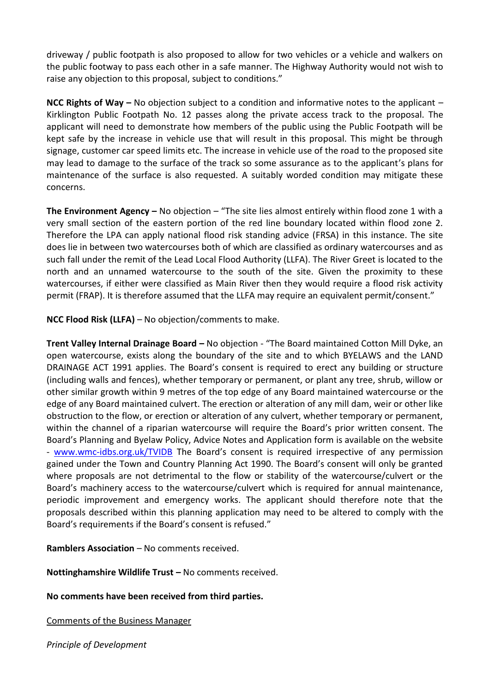driveway / public footpath is also proposed to allow for two vehicles or a vehicle and walkers on the public footway to pass each other in a safe manner. The Highway Authority would not wish to raise any objection to this proposal, subject to conditions."

**NCC Rights of Way –** No objection subject to a condition and informative notes to the applicant – Kirklington Public Footpath No. 12 passes along the private access track to the proposal. The applicant will need to demonstrate how members of the public using the Public Footpath will be kept safe by the increase in vehicle use that will result in this proposal. This might be through signage, customer car speed limits etc. The increase in vehicle use of the road to the proposed site may lead to damage to the surface of the track so some assurance as to the applicant's plans for maintenance of the surface is also requested. A suitably worded condition may mitigate these concerns.

**The Environment Agency –** No objection – "The site lies almost entirely within flood zone 1 with a very small section of the eastern portion of the red line boundary located within flood zone 2. Therefore the LPA can apply national flood risk standing advice (FRSA) in this instance. The site does lie in between two watercourses both of which are classified as ordinary watercourses and as such fall under the remit of the Lead Local Flood Authority (LLFA). The River Greet is located to the north and an unnamed watercourse to the south of the site. Given the proximity to these watercourses, if either were classified as Main River then they would require a flood risk activity permit (FRAP). It is therefore assumed that the LLFA may require an equivalent permit/consent."

**NCC Flood Risk (LLFA)** – No objection/comments to make.

**Trent Valley Internal Drainage Board –** No objection - "The Board maintained Cotton Mill Dyke, an open watercourse, exists along the boundary of the site and to which BYELAWS and the LAND DRAINAGE ACT 1991 applies. The Board's consent is required to erect any building or structure (including walls and fences), whether temporary or permanent, or plant any tree, shrub, willow or other similar growth within 9 metres of the top edge of any Board maintained watercourse or the edge of any Board maintained culvert. The erection or alteration of any mill dam, weir or other like obstruction to the flow, or erection or alteration of any culvert, whether temporary or permanent, within the channel of a riparian watercourse will require the Board's prior written consent. The Board's Planning and Byelaw Policy, Advice Notes and Application form is available on the website - [www.wmc-idbs.org.uk/TVIDB](http://www.wmc-idbs.org.uk/TVIDB) The Board's consent is required irrespective of any permission gained under the Town and Country Planning Act 1990. The Board's consent will only be granted where proposals are not detrimental to the flow or stability of the watercourse/culvert or the Board's machinery access to the watercourse/culvert which is required for annual maintenance, periodic improvement and emergency works. The applicant should therefore note that the proposals described within this planning application may need to be altered to comply with the Board's requirements if the Board's consent is refused."

**Ramblers Association – No comments received.** 

**Nottinghamshire Wildlife Trust –** No comments received.

**No comments have been received from third parties.** 

Comments of the Business Manager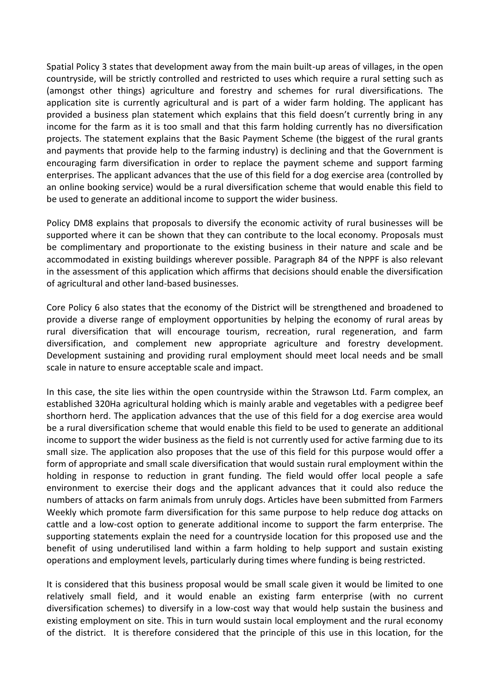Spatial Policy 3 states that development away from the main built-up areas of villages, in the open countryside, will be strictly controlled and restricted to uses which require a rural setting such as (amongst other things) agriculture and forestry and schemes for rural diversifications. The application site is currently agricultural and is part of a wider farm holding. The applicant has provided a business plan statement which explains that this field doesn't currently bring in any income for the farm as it is too small and that this farm holding currently has no diversification projects. The statement explains that the Basic Payment Scheme (the biggest of the rural grants and payments that provide help to the farming industry) is declining and that the Government is encouraging farm diversification in order to replace the payment scheme and support farming enterprises. The applicant advances that the use of this field for a dog exercise area (controlled by an online booking service) would be a rural diversification scheme that would enable this field to be used to generate an additional income to support the wider business.

Policy DM8 explains that proposals to diversify the economic activity of rural businesses will be supported where it can be shown that they can contribute to the local economy. Proposals must be complimentary and proportionate to the existing business in their nature and scale and be accommodated in existing buildings wherever possible. Paragraph 84 of the NPPF is also relevant in the assessment of this application which affirms that decisions should enable the diversification of agricultural and other land-based businesses.

Core Policy 6 also states that the economy of the District will be strengthened and broadened to provide a diverse range of employment opportunities by helping the economy of rural areas by rural diversification that will encourage tourism, recreation, rural regeneration, and farm diversification, and complement new appropriate agriculture and forestry development. Development sustaining and providing rural employment should meet local needs and be small scale in nature to ensure acceptable scale and impact.

In this case, the site lies within the open countryside within the Strawson Ltd. Farm complex, an established 320Ha agricultural holding which is mainly arable and vegetables with a pedigree beef shorthorn herd. The application advances that the use of this field for a dog exercise area would be a rural diversification scheme that would enable this field to be used to generate an additional income to support the wider business as the field is not currently used for active farming due to its small size. The application also proposes that the use of this field for this purpose would offer a form of appropriate and small scale diversification that would sustain rural employment within the holding in response to reduction in grant funding. The field would offer local people a safe environment to exercise their dogs and the applicant advances that it could also reduce the numbers of attacks on farm animals from unruly dogs. Articles have been submitted from Farmers Weekly which promote farm diversification for this same purpose to help reduce dog attacks on cattle and a low-cost option to generate additional income to support the farm enterprise. The supporting statements explain the need for a countryside location for this proposed use and the benefit of using underutilised land within a farm holding to help support and sustain existing operations and employment levels, particularly during times where funding is being restricted.

It is considered that this business proposal would be small scale given it would be limited to one relatively small field, and it would enable an existing farm enterprise (with no current diversification schemes) to diversify in a low-cost way that would help sustain the business and existing employment on site. This in turn would sustain local employment and the rural economy of the district. It is therefore considered that the principle of this use in this location, for the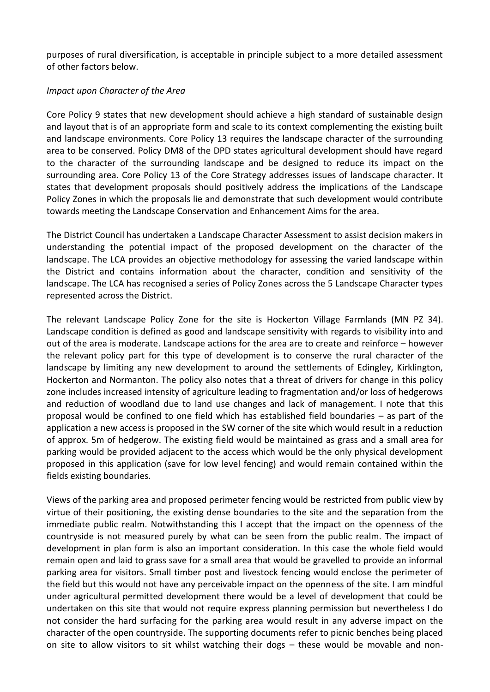purposes of rural diversification, is acceptable in principle subject to a more detailed assessment of other factors below.

### *Impact upon Character of the Area*

Core Policy 9 states that new development should achieve a high standard of sustainable design and layout that is of an appropriate form and scale to its context complementing the existing built and landscape environments. Core Policy 13 requires the landscape character of the surrounding area to be conserved. Policy DM8 of the DPD states agricultural development should have regard to the character of the surrounding landscape and be designed to reduce its impact on the surrounding area. Core Policy 13 of the Core Strategy addresses issues of landscape character. It states that development proposals should positively address the implications of the Landscape Policy Zones in which the proposals lie and demonstrate that such development would contribute towards meeting the Landscape Conservation and Enhancement Aims for the area.

The District Council has undertaken a Landscape Character Assessment to assist decision makers in understanding the potential impact of the proposed development on the character of the landscape. The LCA provides an objective methodology for assessing the varied landscape within the District and contains information about the character, condition and sensitivity of the landscape. The LCA has recognised a series of Policy Zones across the 5 Landscape Character types represented across the District.

The relevant Landscape Policy Zone for the site is Hockerton Village Farmlands (MN PZ 34). Landscape condition is defined as good and landscape sensitivity with regards to visibility into and out of the area is moderate. Landscape actions for the area are to create and reinforce – however the relevant policy part for this type of development is to conserve the rural character of the landscape by limiting any new development to around the settlements of Edingley, Kirklington, Hockerton and Normanton. The policy also notes that a threat of drivers for change in this policy zone includes increased intensity of agriculture leading to fragmentation and/or loss of hedgerows and reduction of woodland due to land use changes and lack of management. I note that this proposal would be confined to one field which has established field boundaries – as part of the application a new access is proposed in the SW corner of the site which would result in a reduction of approx. 5m of hedgerow. The existing field would be maintained as grass and a small area for parking would be provided adjacent to the access which would be the only physical development proposed in this application (save for low level fencing) and would remain contained within the fields existing boundaries.

Views of the parking area and proposed perimeter fencing would be restricted from public view by virtue of their positioning, the existing dense boundaries to the site and the separation from the immediate public realm. Notwithstanding this I accept that the impact on the openness of the countryside is not measured purely by what can be seen from the public realm. The impact of development in plan form is also an important consideration. In this case the whole field would remain open and laid to grass save for a small area that would be gravelled to provide an informal parking area for visitors. Small timber post and livestock fencing would enclose the perimeter of the field but this would not have any perceivable impact on the openness of the site. I am mindful under agricultural permitted development there would be a level of development that could be undertaken on this site that would not require express planning permission but nevertheless I do not consider the hard surfacing for the parking area would result in any adverse impact on the character of the open countryside. The supporting documents refer to picnic benches being placed on site to allow visitors to sit whilst watching their dogs – these would be movable and non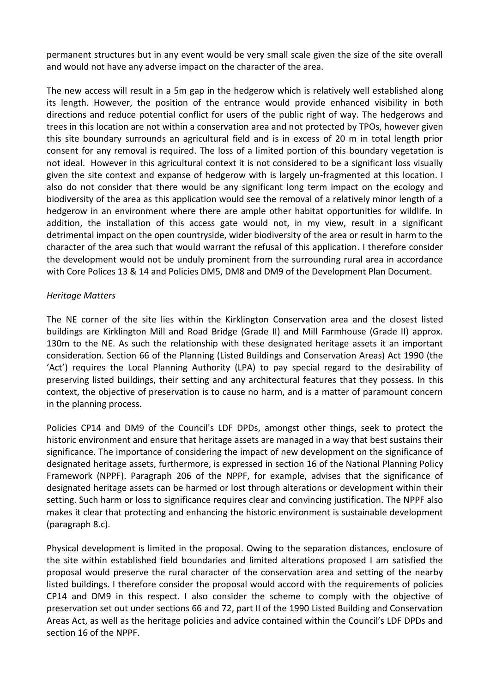permanent structures but in any event would be very small scale given the size of the site overall and would not have any adverse impact on the character of the area.

The new access will result in a 5m gap in the hedgerow which is relatively well established along its length. However, the position of the entrance would provide enhanced visibility in both directions and reduce potential conflict for users of the public right of way. The hedgerows and trees in this location are not within a conservation area and not protected by TPOs, however given this site boundary surrounds an agricultural field and is in excess of 20 m in total length prior consent for any removal is required. The loss of a limited portion of this boundary vegetation is not ideal. However in this agricultural context it is not considered to be a significant loss visually given the site context and expanse of hedgerow with is largely un-fragmented at this location. I also do not consider that there would be any significant long term impact on the ecology and biodiversity of the area as this application would see the removal of a relatively minor length of a hedgerow in an environment where there are ample other habitat opportunities for wildlife. In addition, the installation of this access gate would not, in my view, result in a significant detrimental impact on the open countryside, wider biodiversity of the area or result in harm to the character of the area such that would warrant the refusal of this application. I therefore consider the development would not be unduly prominent from the surrounding rural area in accordance with Core Polices 13 & 14 and Policies DM5, DM8 and DM9 of the Development Plan Document.

### *Heritage Matters*

The NE corner of the site lies within the Kirklington Conservation area and the closest listed buildings are Kirklington Mill and Road Bridge (Grade II) and Mill Farmhouse (Grade II) approx. 130m to the NE. As such the relationship with these designated heritage assets it an important consideration. Section 66 of the Planning (Listed Buildings and Conservation Areas) Act 1990 (the 'Act') requires the Local Planning Authority (LPA) to pay special regard to the desirability of preserving listed buildings, their setting and any architectural features that they possess. In this context, the objective of preservation is to cause no harm, and is a matter of paramount concern in the planning process.

Policies CP14 and DM9 of the Council's LDF DPDs, amongst other things, seek to protect the historic environment and ensure that heritage assets are managed in a way that best sustains their significance. The importance of considering the impact of new development on the significance of designated heritage assets, furthermore, is expressed in section 16 of the National Planning Policy Framework (NPPF). Paragraph 206 of the NPPF, for example, advises that the significance of designated heritage assets can be harmed or lost through alterations or development within their setting. Such harm or loss to significance requires clear and convincing justification. The NPPF also makes it clear that protecting and enhancing the historic environment is sustainable development (paragraph 8.c).

Physical development is limited in the proposal. Owing to the separation distances, enclosure of the site within established field boundaries and limited alterations proposed I am satisfied the proposal would preserve the rural character of the conservation area and setting of the nearby listed buildings. I therefore consider the proposal would accord with the requirements of policies CP14 and DM9 in this respect. I also consider the scheme to comply with the objective of preservation set out under sections 66 and 72, part II of the 1990 Listed Building and Conservation Areas Act, as well as the heritage policies and advice contained within the Council's LDF DPDs and section 16 of the NPPF.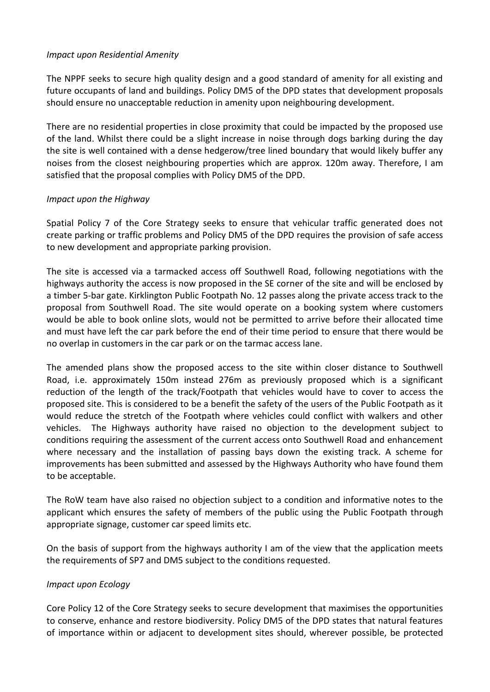### *Impact upon Residential Amenity*

The NPPF seeks to secure high quality design and a good standard of amenity for all existing and future occupants of land and buildings. Policy DM5 of the DPD states that development proposals should ensure no unacceptable reduction in amenity upon neighbouring development.

There are no residential properties in close proximity that could be impacted by the proposed use of the land. Whilst there could be a slight increase in noise through dogs barking during the day the site is well contained with a dense hedgerow/tree lined boundary that would likely buffer any noises from the closest neighbouring properties which are approx. 120m away. Therefore, I am satisfied that the proposal complies with Policy DM5 of the DPD.

## *Impact upon the Highway*

Spatial Policy 7 of the Core Strategy seeks to ensure that vehicular traffic generated does not create parking or traffic problems and Policy DM5 of the DPD requires the provision of safe access to new development and appropriate parking provision.

The site is accessed via a tarmacked access off Southwell Road, following negotiations with the highways authority the access is now proposed in the SE corner of the site and will be enclosed by a timber 5-bar gate. Kirklington Public Footpath No. 12 passes along the private access track to the proposal from Southwell Road. The site would operate on a booking system where customers would be able to book online slots, would not be permitted to arrive before their allocated time and must have left the car park before the end of their time period to ensure that there would be no overlap in customers in the car park or on the tarmac access lane.

The amended plans show the proposed access to the site within closer distance to Southwell Road, i.e. approximately 150m instead 276m as previously proposed which is a significant reduction of the length of the track/Footpath that vehicles would have to cover to access the proposed site. This is considered to be a benefit the safety of the users of the Public Footpath as it would reduce the stretch of the Footpath where vehicles could conflict with walkers and other vehicles. The Highways authority have raised no objection to the development subject to conditions requiring the assessment of the current access onto Southwell Road and enhancement where necessary and the installation of passing bays down the existing track. A scheme for improvements has been submitted and assessed by the Highways Authority who have found them to be acceptable.

The RoW team have also raised no objection subject to a condition and informative notes to the applicant which ensures the safety of members of the public using the Public Footpath through appropriate signage, customer car speed limits etc.

On the basis of support from the highways authority I am of the view that the application meets the requirements of SP7 and DM5 subject to the conditions requested.

## *Impact upon Ecology*

Core Policy 12 of the Core Strategy seeks to secure development that maximises the opportunities to conserve, enhance and restore biodiversity. Policy DM5 of the DPD states that natural features of importance within or adjacent to development sites should, wherever possible, be protected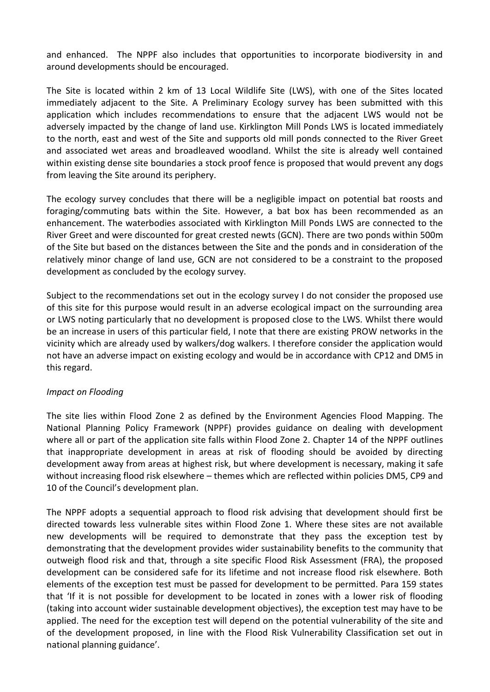and enhanced. The NPPF also includes that opportunities to incorporate biodiversity in and around developments should be encouraged.

The Site is located within 2 km of 13 Local Wildlife Site (LWS), with one of the Sites located immediately adjacent to the Site. A Preliminary Ecology survey has been submitted with this application which includes recommendations to ensure that the adjacent LWS would not be adversely impacted by the change of land use. Kirklington Mill Ponds LWS is located immediately to the north, east and west of the Site and supports old mill ponds connected to the River Greet and associated wet areas and broadleaved woodland. Whilst the site is already well contained within existing dense site boundaries a stock proof fence is proposed that would prevent any dogs from leaving the Site around its periphery.

The ecology survey concludes that there will be a negligible impact on potential bat roosts and foraging/commuting bats within the Site. However, a bat box has been recommended as an enhancement. The waterbodies associated with Kirklington Mill Ponds LWS are connected to the River Greet and were discounted for great crested newts (GCN). There are two ponds within 500m of the Site but based on the distances between the Site and the ponds and in consideration of the relatively minor change of land use, GCN are not considered to be a constraint to the proposed development as concluded by the ecology survey.

Subject to the recommendations set out in the ecology survey I do not consider the proposed use of this site for this purpose would result in an adverse ecological impact on the surrounding area or LWS noting particularly that no development is proposed close to the LWS. Whilst there would be an increase in users of this particular field, I note that there are existing PROW networks in the vicinity which are already used by walkers/dog walkers. I therefore consider the application would not have an adverse impact on existing ecology and would be in accordance with CP12 and DM5 in this regard.

### *Impact on Flooding*

The site lies within Flood Zone 2 as defined by the Environment Agencies Flood Mapping. The National Planning Policy Framework (NPPF) provides guidance on dealing with development where all or part of the application site falls within Flood Zone 2. Chapter 14 of the NPPF outlines that inappropriate development in areas at risk of flooding should be avoided by directing development away from areas at highest risk, but where development is necessary, making it safe without increasing flood risk elsewhere – themes which are reflected within policies DM5, CP9 and 10 of the Council's development plan.

The NPPF adopts a sequential approach to flood risk advising that development should first be directed towards less vulnerable sites within Flood Zone 1. Where these sites are not available new developments will be required to demonstrate that they pass the exception test by demonstrating that the development provides wider sustainability benefits to the community that outweigh flood risk and that, through a site specific Flood Risk Assessment (FRA), the proposed development can be considered safe for its lifetime and not increase flood risk elsewhere. Both elements of the exception test must be passed for development to be permitted. Para 159 states that 'If it is not possible for development to be located in zones with a lower risk of flooding (taking into account wider sustainable development objectives), the exception test may have to be applied. The need for the exception test will depend on the potential vulnerability of the site and of the development proposed, in line with the Flood Risk Vulnerability Classification set out in national planning guidance'.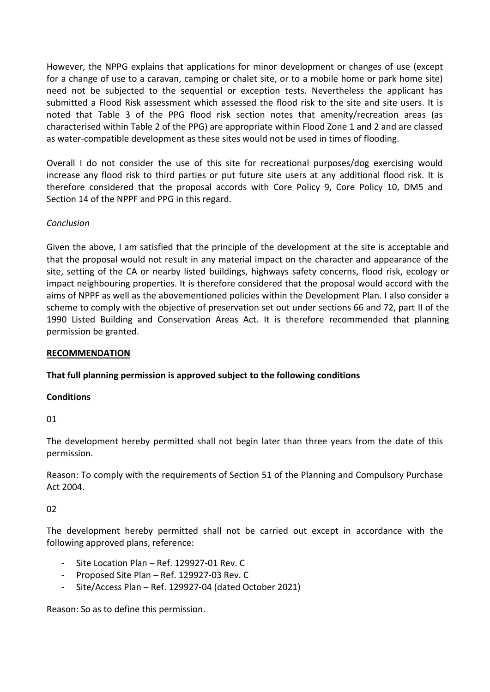However, the NPPG explains that applications for minor development or changes of use (except for a change of use to a caravan, camping or chalet site, or to a mobile home or park home site) need not be subjected to the sequential or exception tests. Nevertheless the applicant has submitted a Flood Risk assessment which assessed the flood risk to the site and site users. It is noted that Table 3 of the PPG flood risk section notes that amenity/recreation areas (as characterised within Table 2 of the PPG) are appropriate within Flood Zone 1 and 2 and are classed as water-compatible development as these sites would not be used in times of flooding.

Overall I do not consider the use of this site for recreational purposes/dog exercising would increase any flood risk to third parties or put future site users at any additional flood risk. It is therefore considered that the proposal accords with Core Policy 9, Core Policy 10, DM5 and Section 14 of the NPPF and PPG in this regard.

## *Conclusion*

Given the above, I am satisfied that the principle of the development at the site is acceptable and that the proposal would not result in any material impact on the character and appearance of the site, setting of the CA or nearby listed buildings, highways safety concerns, flood risk, ecology or impact neighbouring properties. It is therefore considered that the proposal would accord with the aims of NPPF as well as the abovementioned policies within the Development Plan. I also consider a scheme to comply with the objective of preservation set out under sections 66 and 72, part II of the 1990 Listed Building and Conservation Areas Act. It is therefore recommended that planning permission be granted.

### **RECOMMENDATION**

### **That full planning permission is approved subject to the following conditions**

### **Conditions**

01

The development hereby permitted shall not begin later than three years from the date of this permission.

Reason: To comply with the requirements of Section 51 of the Planning and Compulsory Purchase Act 2004.

### 02

The development hereby permitted shall not be carried out except in accordance with the following approved plans, reference:

- Site Location Plan Ref. 129927-01 Rev. C
- Proposed Site Plan Ref. 129927-03 Rev. C
- Site/Access Plan Ref. 129927-04 (dated October 2021)

Reason: So as to define this permission.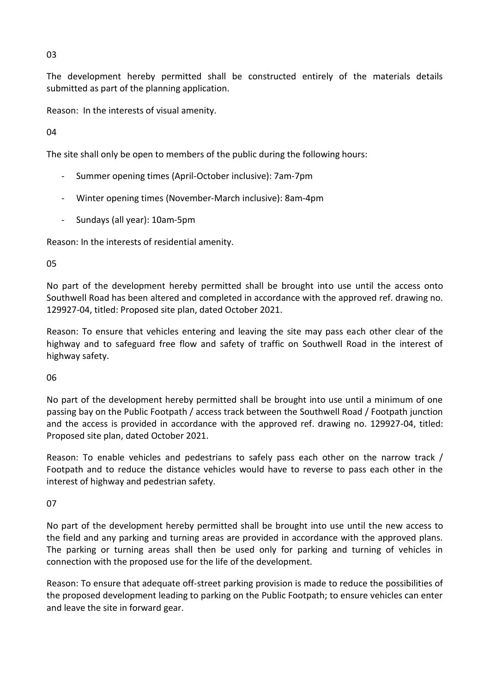03

The development hereby permitted shall be constructed entirely of the materials details submitted as part of the planning application.

Reason: In the interests of visual amenity.

04

The site shall only be open to members of the public during the following hours:

- Summer opening times (April-October inclusive): 7am-7pm
- Winter opening times (November-March inclusive): 8am-4pm
- Sundays (all year): 10am-5pm

Reason: In the interests of residential amenity.

05

No part of the development hereby permitted shall be brought into use until the access onto Southwell Road has been altered and completed in accordance with the approved ref. drawing no. 129927-04, titled: Proposed site plan, dated October 2021.

Reason: To ensure that vehicles entering and leaving the site may pass each other clear of the highway and to safeguard free flow and safety of traffic on Southwell Road in the interest of highway safety.

06

No part of the development hereby permitted shall be brought into use until a minimum of one passing bay on the Public Footpath / access track between the Southwell Road / Footpath junction and the access is provided in accordance with the approved ref. drawing no. 129927-04, titled: Proposed site plan, dated October 2021.

Reason: To enable vehicles and pedestrians to safely pass each other on the narrow track / Footpath and to reduce the distance vehicles would have to reverse to pass each other in the interest of highway and pedestrian safety.

07

No part of the development hereby permitted shall be brought into use until the new access to the field and any parking and turning areas are provided in accordance with the approved plans. The parking or turning areas shall then be used only for parking and turning of vehicles in connection with the proposed use for the life of the development.

Reason: To ensure that adequate off-street parking provision is made to reduce the possibilities of the proposed development leading to parking on the Public Footpath; to ensure vehicles can enter and leave the site in forward gear.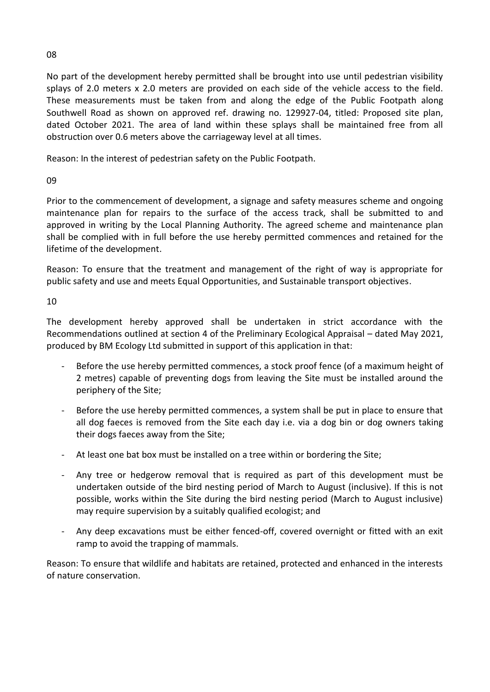No part of the development hereby permitted shall be brought into use until pedestrian visibility splays of 2.0 meters x 2.0 meters are provided on each side of the vehicle access to the field. These measurements must be taken from and along the edge of the Public Footpath along Southwell Road as shown on approved ref. drawing no. 129927-04, titled: Proposed site plan, dated October 2021. The area of land within these splays shall be maintained free from all obstruction over 0.6 meters above the carriageway level at all times.

Reason: In the interest of pedestrian safety on the Public Footpath.

# 09

Prior to the commencement of development, a signage and safety measures scheme and ongoing maintenance plan for repairs to the surface of the access track, shall be submitted to and approved in writing by the Local Planning Authority. The agreed scheme and maintenance plan shall be complied with in full before the use hereby permitted commences and retained for the lifetime of the development.

Reason: To ensure that the treatment and management of the right of way is appropriate for public safety and use and meets Equal Opportunities, and Sustainable transport objectives.

## 10

The development hereby approved shall be undertaken in strict accordance with the Recommendations outlined at section 4 of the Preliminary Ecological Appraisal – dated May 2021, produced by BM Ecology Ltd submitted in support of this application in that:

- Before the use hereby permitted commences, a stock proof fence (of a maximum height of 2 metres) capable of preventing dogs from leaving the Site must be installed around the periphery of the Site;
- Before the use hereby permitted commences, a system shall be put in place to ensure that all dog faeces is removed from the Site each day i.e. via a dog bin or dog owners taking their dogs faeces away from the Site;
- At least one bat box must be installed on a tree within or bordering the Site;
- Any tree or hedgerow removal that is required as part of this development must be undertaken outside of the bird nesting period of March to August (inclusive). If this is not possible, works within the Site during the bird nesting period (March to August inclusive) may require supervision by a suitably qualified ecologist; and
- Any deep excavations must be either fenced-off, covered overnight or fitted with an exit ramp to avoid the trapping of mammals.

Reason: To ensure that wildlife and habitats are retained, protected and enhanced in the interests of nature conservation.

08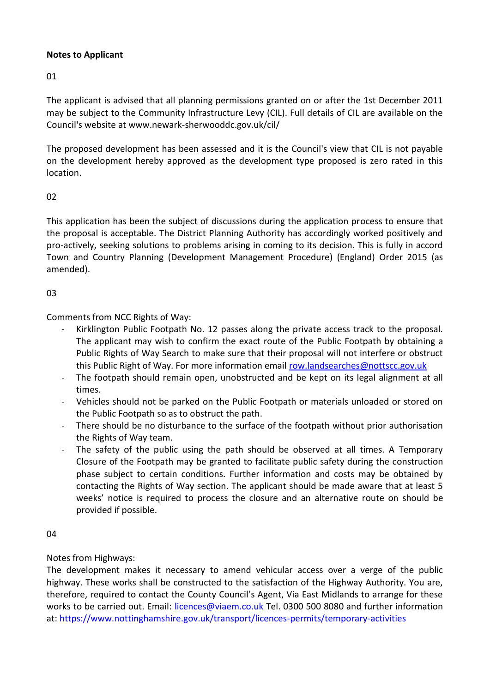## **Notes to Applicant**

01

The applicant is advised that all planning permissions granted on or after the 1st December 2011 may be subject to the Community Infrastructure Levy (CIL). Full details of CIL are available on the Council's website at www.newark-sherwooddc.gov.uk/cil/

The proposed development has been assessed and it is the Council's view that CIL is not payable on the development hereby approved as the development type proposed is zero rated in this location.

## 02

This application has been the subject of discussions during the application process to ensure that the proposal is acceptable. The District Planning Authority has accordingly worked positively and pro-actively, seeking solutions to problems arising in coming to its decision. This is fully in accord Town and Country Planning (Development Management Procedure) (England) Order 2015 (as amended).

## 03

Comments from NCC Rights of Way:

- Kirklington Public Footpath No. 12 passes along the private access track to the proposal. The applicant may wish to confirm the exact route of the Public Footpath by obtaining a Public Rights of Way Search to make sure that their proposal will not interfere or obstruct this Public Right of Way. For more information email [row.landsearches@nottscc.gov.uk](mailto:row.landsearches@nottscc.gov.uk)
- The footpath should remain open, unobstructed and be kept on its legal alignment at all times.
- Vehicles should not be parked on the Public Footpath or materials unloaded or stored on the Public Footpath so as to obstruct the path.
- There should be no disturbance to the surface of the footpath without prior authorisation the Rights of Way team.
- The safety of the public using the path should be observed at all times. A Temporary Closure of the Footpath may be granted to facilitate public safety during the construction phase subject to certain conditions. Further information and costs may be obtained by contacting the Rights of Way section. The applicant should be made aware that at least 5 weeks' notice is required to process the closure and an alternative route on should be provided if possible.

04

## Notes from Highways:

The development makes it necessary to amend vehicular access over a verge of the public highway. These works shall be constructed to the satisfaction of the Highway Authority. You are, therefore, required to contact the County Council's Agent, Via East Midlands to arrange for these works to be carried out. Email: [licences@viaem.co.uk](mailto:licences@viaem.co.uk) Tel. 0300 500 8080 and further information at:<https://www.nottinghamshire.gov.uk/transport/licences-permits/temporary-activities>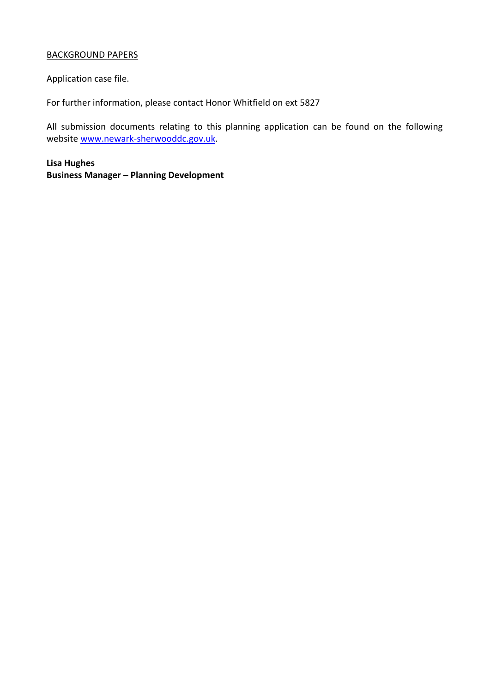### BACKGROUND PAPERS

Application case file.

For further information, please contact Honor Whitfield on ext 5827

All submission documents relating to this planning application can be found on the following websit[e www.newark-sherwooddc.gov.uk.](http://www.newark-sherwooddc.gov.uk/)

**Lisa Hughes Business Manager – Planning Development**